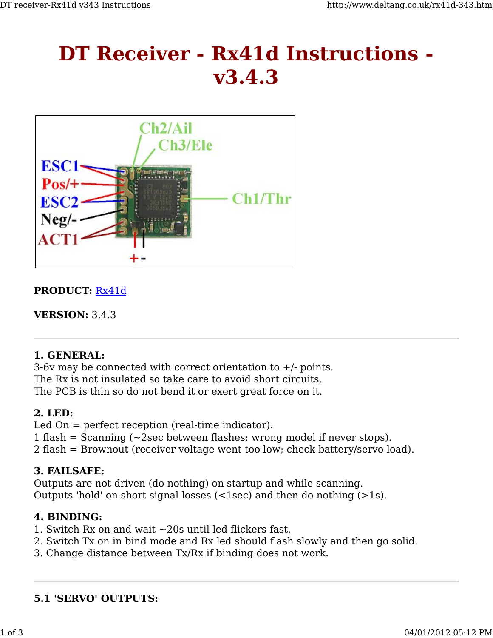# **DT Receiver - Rx41d Instructions v3.4.3**



## **PRODUCT:** Rx41d

**VERSION:** 3.4.3

#### **1. GENERAL:**

3-6v may be connected with correct orientation to  $+/-$  points. The Rx is not insulated so take care to avoid short circuits. The PCB is thin so do not bend it or exert great force on it.

#### **2. LED:**

Led On = perfect reception (real-time indicator). 1 flash = Scanning  $\left(\sim 2\sec\theta\right)$  between flashes; wrong model if never stops). 2 flash = Brownout (receiver voltage went too low; check battery/servo load).

#### **3. FAILSAFE:**

Outputs are not driven (do nothing) on startup and while scanning. Outputs 'hold' on short signal losses (<1sec) and then do nothing (>1s).

# **4. BINDING:**

- 1. Switch Rx on and wait ~20s until led flickers fast.
- 2. Switch Tx on in bind mode and Rx led should flash slowly and then go solid.
- 3. Change distance between Tx/Rx if binding does not work.

#### **5.1 'SERVO' OUTPUTS:**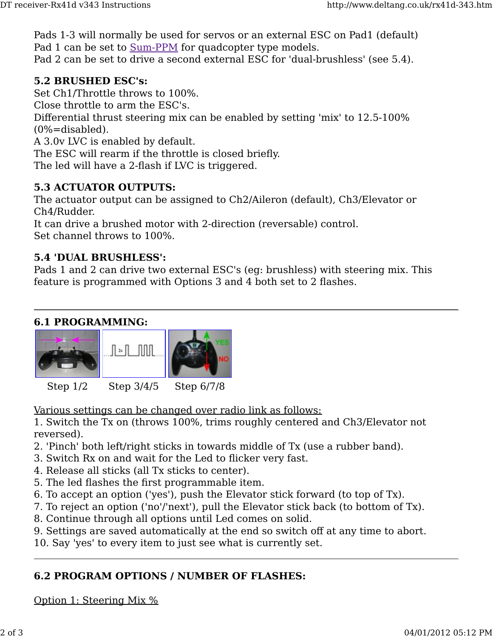Pads 1-3 will normally be used for servos or an external ESC on Pad1 (default) Pad 1 can be set to <u>Sum-PPM</u> for quadcopter type models. Pad 2 can be set to drive a second external ESC for 'dual-brushless' (see 5.4).

#### **5.2 BRUSHED ESC's:**

Set Ch1/Throttle throws to 100%.

Close throttle to arm the ESC's.

Differential thrust steering mix can be enabled by setting 'mix' to 12.5-100%  $(0\% = \text{disabeled}).$ 

A 3.0v LVC is enabled by default.

The ESC will rearm if the throttle is closed briefly.

The led will have a 2-flash if LVC is triggered.

## **5.3 ACTUATOR OUTPUTS:**

The actuator output can be assigned to Ch2/Aileron (default), Ch3/Elevator or Ch4/Rudder.

It can drive a brushed motor with 2-direction (reversable) control. Set channel throws to 100%.

#### **5.4 'DUAL BRUSHLESS':**

Pads 1 and 2 can drive two external ESC's (eg: brushless) with steering mix. This feature is programmed with Options 3 and 4 both set to 2 flashes.

#### **6.1 PROGRAMMING:**



Various settings can be changed over radio link as follows:

1. Switch the Tx on (throws 100%, trims roughly centered and Ch3/Elevator not reversed).

- 2. 'Pinch' both left/right sticks in towards middle of Tx (use a rubber band).
- 3. Switch Rx on and wait for the Led to flicker very fast.
- 4. Release all sticks (all Tx sticks to center).
- 5. The led flashes the first programmable item.
- 6. To accept an option ('yes'), push the Elevator stick forward (to top of Tx).
- 7. To reject an option ('no'/'next'), pull the Elevator stick back (to bottom of Tx).
- 8. Continue through all options until Led comes on solid.
- 9. Settings are saved automatically at the end so switch off at any time to abort.
- 10. Say 'yes' to every item to just see what is currently set.

# **6.2 PROGRAM OPTIONS / NUMBER OF FLASHES:**

Option 1: Steering Mix %